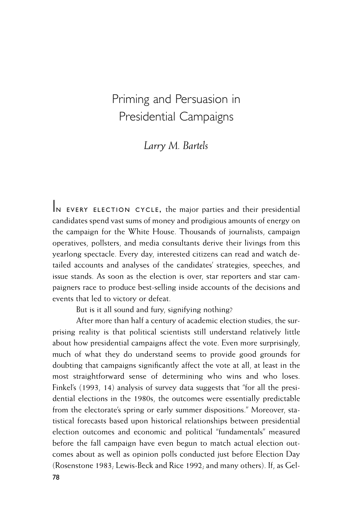# Priming and Persuasion in Presidential Campaigns

## *Larry M. Bartels*

IN EVERY ELECTION CYCLE, the major parties and their presidential candidates spend vast sums of money and prodigious amounts of energy on the campaign for the White House. Thousands of journalists, campaign operatives, pollsters, and media consultants derive their livings from this yearlong spectacle. Every day, interested citizens can read and watch detailed accounts and analyses of the candidates' strategies, speeches, and issue stands. As soon as the election is over, star reporters and star campaigners race to produce best-selling inside accounts of the decisions and events that led to victory or defeat.

But is it all sound and fury, signifying nothing?

After more than half a century of academic election studies, the surprising reality is that political scientists still understand relatively little about how presidential campaigns affect the vote. Even more surprisingly, much of what they do understand seems to provide good grounds for doubting that campaigns significantly affect the vote at all, at least in the most straightforward sense of determining who wins and who loses. Finkel's (1993, 14) analysis of survey data suggests that "for all the presidential elections in the 1980s, the outcomes were essentially predictable from the electorate's spring or early summer dispositions." Moreover, statistical forecasts based upon historical relationships between presidential election outcomes and economic and political "fundamentals" measured before the fall campaign have even begun to match actual election outcomes about as well as opinion polls conducted just before Election Day (Rosenstone 1983; Lewis-Beck and Rice 1992; and many others). If, as Gel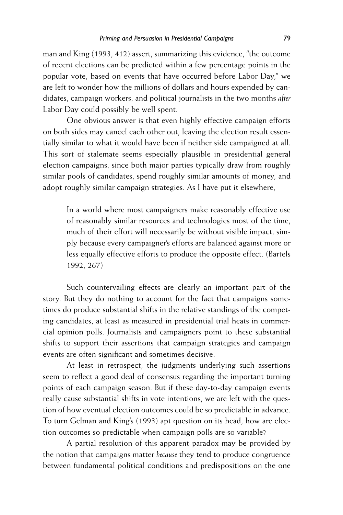man and King (1993, 412) assert, summarizing this evidence, "the outcome of recent elections can be predicted within a few percentage points in the popular vote, based on events that have occurred before Labor Day," we are left to wonder how the millions of dollars and hours expended by candidates, campaign workers, and political journalists in the two months *after* Labor Day could possibly be well spent.

One obvious answer is that even highly effective campaign efforts on both sides may cancel each other out, leaving the election result essentially similar to what it would have been if neither side campaigned at all. This sort of stalemate seems especially plausible in presidential general election campaigns, since both major parties typically draw from roughly similar pools of candidates, spend roughly similar amounts of money, and adopt roughly similar campaign strategies. As I have put it elsewhere,

In a world where most campaigners make reasonably effective use of reasonably similar resources and technologies most of the time, much of their effort will necessarily be without visible impact, simply because every campaigner's efforts are balanced against more or less equally effective efforts to produce the opposite effect. (Bartels 1992, 267)

Such countervailing effects are clearly an important part of the story. But they do nothing to account for the fact that campaigns sometimes do produce substantial shifts in the relative standings of the competing candidates, at least as measured in presidential trial heats in commercial opinion polls. Journalists and campaigners point to these substantial shifts to support their assertions that campaign strategies and campaign events are often significant and sometimes decisive.

At least in retrospect, the judgments underlying such assertions seem to reflect a good deal of consensus regarding the important turning points of each campaign season. But if these day-to-day campaign events really cause substantial shifts in vote intentions, we are left with the question of how eventual election outcomes could be so predictable in advance. To turn Gelman and King's (1993) apt question on its head, how are election outcomes so predictable when campaign polls are so variable?

A partial resolution of this apparent paradox may be provided by the notion that campaigns matter *because* they tend to produce congruence between fundamental political conditions and predispositions on the one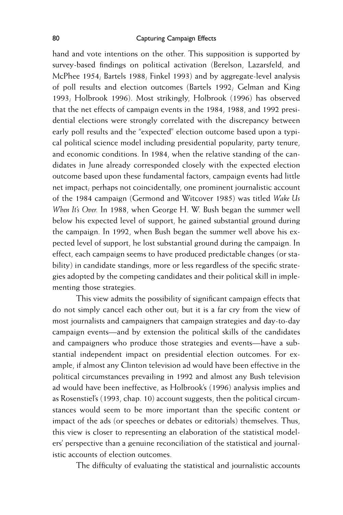hand and vote intentions on the other. This supposition is supported by survey-based findings on political activation (Berelson, Lazarsfeld, and McPhee 1954; Bartels 1988; Finkel 1993) and by aggregate-level analysis of poll results and election outcomes (Bartels 1992; Gelman and King 1993; Holbrook 1996). Most strikingly, Holbrook (1996) has observed that the net effects of campaign events in the 1984, 1988, and 1992 presidential elections were strongly correlated with the discrepancy between early poll results and the "expected" election outcome based upon a typical political science model including presidential popularity, party tenure, and economic conditions. In 1984, when the relative standing of the candidates in June already corresponded closely with the expected election outcome based upon these fundamental factors, campaign events had little net impact; perhaps not coincidentally, one prominent journalistic account of the 1984 campaign (Germond and Witcover 1985) was titled *Wake Us When It's Over.* In 1988, when George H. W. Bush began the summer well below his expected level of support, he gained substantial ground during the campaign. In 1992, when Bush began the summer well above his expected level of support, he lost substantial ground during the campaign. In effect, each campaign seems to have produced predictable changes (or stability) in candidate standings, more or less regardless of the specific strategies adopted by the competing candidates and their political skill in implementing those strategies.

This view admits the possibility of significant campaign effects that do not simply cancel each other out; but it is a far cry from the view of most journalists and campaigners that campaign strategies and day-to-day campaign events—and by extension the political skills of the candidates and campaigners who produce those strategies and events—have a substantial independent impact on presidential election outcomes. For example, if almost any Clinton television ad would have been effective in the political circumstances prevailing in 1992 and almost any Bush television ad would have been ineffective, as Holbrook's (1996) analysis implies and as Rosenstiel's (1993, chap. 10) account suggests, then the political circumstances would seem to be more important than the specific content or impact of the ads (or speeches or debates or editorials) themselves. Thus, this view is closer to representing an elaboration of the statistical modelers' perspective than a genuine reconciliation of the statistical and journalistic accounts of election outcomes.

The difficulty of evaluating the statistical and journalistic accounts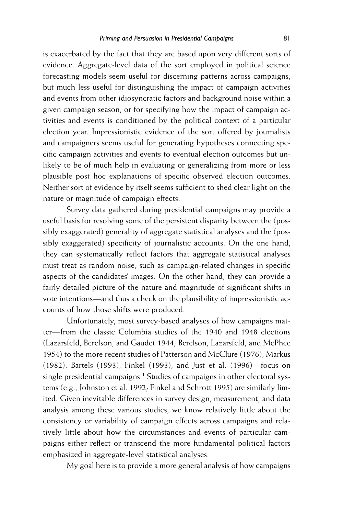is exacerbated by the fact that they are based upon very different sorts of evidence. Aggregate-level data of the sort employed in political science forecasting models seem useful for discerning patterns across campaigns, but much less useful for distinguishing the impact of campaign activities and events from other idiosyncratic factors and background noise within a given campaign season, or for specifying how the impact of campaign activities and events is conditioned by the political context of a particular election year. Impressionistic evidence of the sort offered by journalists and campaigners seems useful for generating hypotheses connecting specific campaign activities and events to eventual election outcomes but unlikely to be of much help in evaluating or generalizing from more or less plausible post hoc explanations of specific observed election outcomes. Neither sort of evidence by itself seems sufficient to shed clear light on the nature or magnitude of campaign effects.

Survey data gathered during presidential campaigns may provide a useful basis for resolving some of the persistent disparity between the (possibly exaggerated) generality of aggregate statistical analyses and the (possibly exaggerated) specificity of journalistic accounts. On the one hand, they can systematically reflect factors that aggregate statistical analyses must treat as random noise, such as campaign-related changes in specific aspects of the candidates' images. On the other hand, they can provide a fairly detailed picture of the nature and magnitude of significant shifts in vote intentions—and thus a check on the plausibility of impressionistic accounts of how those shifts were produced.

Unfortunately, most survey-based analyses of how campaigns matter—from the classic Columbia studies of the 1940 and 1948 elections (Lazarsfeld, Berelson, and Gaudet 1944; Berelson, Lazarsfeld, and McPhee 1954) to the more recent studies of Patterson and McClure (1976), Markus (1982), Bartels (1993), Finkel (1993), and Just et al. (1996)—focus on single presidential campaigns.<sup>1</sup> Studies of campaigns in other electoral systems (e.g., Johnston et al. 1992; Finkel and Schrott 1995) are similarly limited. Given inevitable differences in survey design, measurement, and data analysis among these various studies, we know relatively little about the consistency or variability of campaign effects across campaigns and relatively little about how the circumstances and events of particular campaigns either reflect or transcend the more fundamental political factors emphasized in aggregate-level statistical analyses.

My goal here is to provide a more general analysis of how campaigns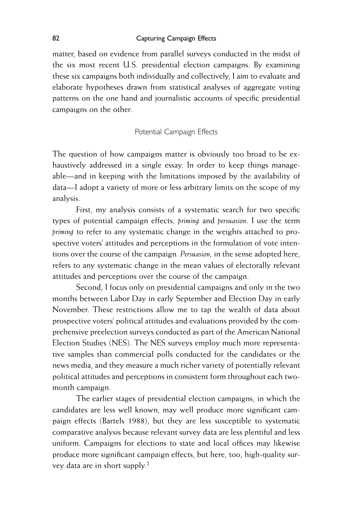matter, based on evidence from parallel surveys conducted in the midst of the six most recent U.S. presidential election campaigns. By examining these six campaigns both individually and collectively, I aim to evaluate and elaborate hypotheses drawn from statistical analyses of aggregate voting patterns on the one hand and journalistic accounts of specific presidential campaigns on the other.

## Potential Campaign Effects

The question of how campaigns matter is obviously too broad to be exhaustively addressed in a single essay. In order to keep things manageable—and in keeping with the limitations imposed by the availability of data—I adopt a variety of more or less arbitrary limits on the scope of my analysis.

First, my analysis consists of a systematic search for two specific types of potential campaign effects, *priming* and *persuasion.* I use the term *priming* to refer to any systematic change in the weights attached to prospective voters' attitudes and perceptions in the formulation of vote intentions over the course of the campaign. *Persuasion,* in the sense adopted here, refers to any systematic change in the mean values of electorally relevant attitudes and perceptions over the course of the campaign.

Second, I focus only on presidential campaigns and only in the two months between Labor Day in early September and Election Day in early November. These restrictions allow me to tap the wealth of data about prospective voters' political attitudes and evaluations provided by the comprehensive preelection surveys conducted as part of the American National Election Studies (NES). The NES surveys employ much more representative samples than commercial polls conducted for the candidates or the news media, and they measure a much richer variety of potentially relevant political attitudes and perceptions in consistent form throughout each twomonth campaign.

The earlier stages of presidential election campaigns, in which the candidates are less well known, may well produce more significant campaign effects (Bartels 1988), but they are less susceptible to systematic comparative analysis because relevant survey data are less plentiful and less uniform. Campaigns for elections to state and local offices may likewise produce more significant campaign effects, but here, too, high-quality survey data are in short supply.2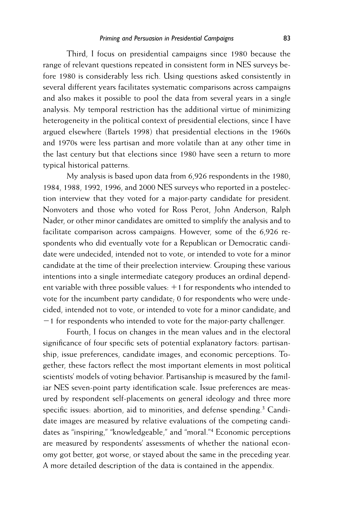#### *Priming and Persuasion in Presidential Campaigns* 83

Third, I focus on presidential campaigns since 1980 because the range of relevant questions repeated in consistent form in NES surveys before 1980 is considerably less rich. Using questions asked consistently in several different years facilitates systematic comparisons across campaigns and also makes it possible to pool the data from several years in a single analysis. My temporal restriction has the additional virtue of minimizing heterogeneity in the political context of presidential elections, since I have argued elsewhere (Bartels 1998) that presidential elections in the 1960s and 1970s were less partisan and more volatile than at any other time in the last century but that elections since 1980 have seen a return to more typical historical patterns.

My analysis is based upon data from 6,926 respondents in the 1980, 1984, 1988, 1992, 1996, and 2000 NES surveys who reported in a postelection interview that they voted for a major-party candidate for president. Nonvoters and those who voted for Ross Perot, John Anderson, Ralph Nader, or other minor candidates are omitted to simplify the analysis and to facilitate comparison across campaigns. However, some of the 6,926 respondents who did eventually vote for a Republican or Democratic candidate were undecided, intended not to vote, or intended to vote for a minor candidate at the time of their preelection interview. Grouping these various intentions into a single intermediate category produces an ordinal dependent variable with three possible values:  $+1$  for respondents who intended to vote for the incumbent party candidate; 0 for respondents who were undecided, intended not to vote, or intended to vote for a minor candidate; and  $-1$  for respondents who intended to vote for the major-party challenger.

Fourth, I focus on changes in the mean values and in the electoral significance of four specific sets of potential explanatory factors: partisanship, issue preferences, candidate images, and economic perceptions. Together, these factors reflect the most important elements in most political scientists' models of voting behavior. Partisanship is measured by the familiar NES seven-point party identification scale. Issue preferences are measured by respondent self-placements on general ideology and three more specific issues: abortion, aid to minorities, and defense spending.<sup>3</sup> Candidate images are measured by relative evaluations of the competing candidates as "inspiring," "knowledgeable," and "moral."4 Economic perceptions are measured by respondents' assessments of whether the national economy got better, got worse, or stayed about the same in the preceding year. A more detailed description of the data is contained in the appendix.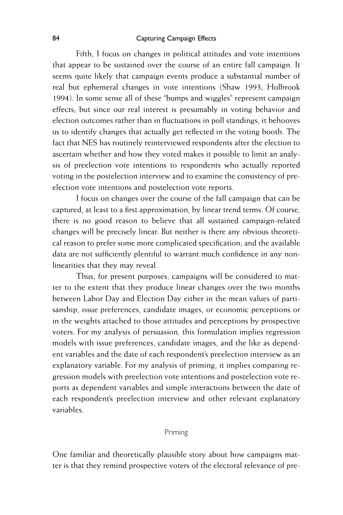Fifth, I focus on changes in political attitudes and vote intentions that appear to be sustained over the course of an entire fall campaign. It seems quite likely that campaign events produce a substantial number of real but ephemeral changes in vote intentions (Shaw 1993; Holbrook 1994). In some sense all of these "bumps and wiggles" represent campaign effects; but since our real interest is presumably in voting behavior and election outcomes rather than in fluctuations in poll standings, it behooves us to identify changes that actually get reBected in the voting booth. The fact that NES has routinely reinterviewed respondents after the election to ascertain whether and how they voted makes it possible to limit an analysis of preelection vote intentions to respondents who actually reported voting in the postelection interview and to examine the consistency of preelection vote intentions and postelection vote reports.

I focus on changes over the course of the fall campaign that can be captured, at least to a first approximation, by linear trend terms. Of course, there is no good reason to believe that all sustained campaign-related changes will be precisely linear. But neither is there any obvious theoretical reason to prefer some more complicated specification; and the available data are not sufficiently plentiful to warrant much confidence in any nonlinearities that they may reveal.

Thus, for present purposes, campaigns will be considered to matter to the extent that they produce linear changes over the two months between Labor Day and Election Day either in the mean values of partisanship, issue preferences, candidate images, or economic perceptions or in the weights attached to those attitudes and perceptions by prospective voters. For my analysis of persuasion*,* this formulation implies regression models with issue preferences, candidate images, and the like as dependent variables and the date of each respondent's preelection interview as an explanatory variable. For my analysis of priming, it implies comparing regression models with preelection vote intentions and postelection vote reports as dependent variables and simple interactions between the date of each respondent's preelection interview and other relevant explanatory variables.

## Priming

One familiar and theoretically plausible story about how campaigns matter is that they remind prospective voters of the electoral relevance of pre-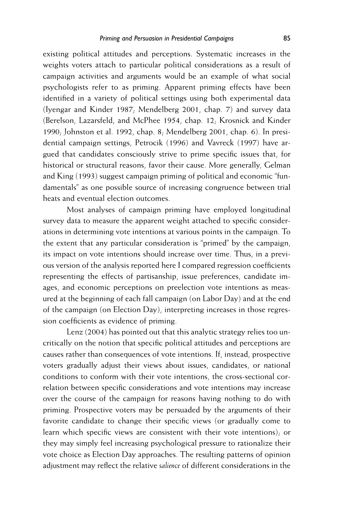existing political attitudes and perceptions. Systematic increases in the weights voters attach to particular political considerations as a result of campaign activities and arguments would be an example of what social psychologists refer to as priming. Apparent priming effects have been identified in a variety of political settings using both experimental data (Iyengar and Kinder 1987; Mendelberg 2001, chap. 7) and survey data (Berelson, Lazarsfeld, and McPhee 1954, chap. 12; Krosnick and Kinder 1990; Johnston et al. 1992, chap. 8; Mendelberg 2001, chap. 6). In presidential campaign settings, Petrocik (1996) and Vavreck (1997) have argued that candidates consciously strive to prime specific issues that, for historical or structural reasons, favor their cause. More generally, Gelman and King (1993) suggest campaign priming of political and economic "fundamentals" as one possible source of increasing congruence between trial heats and eventual election outcomes.

Most analyses of campaign priming have employed longitudinal survey data to measure the apparent weight attached to specific considerations in determining vote intentions at various points in the campaign. To the extent that any particular consideration is "primed" by the campaign, its impact on vote intentions should increase over time. Thus, in a previous version of the analysis reported here I compared regression coefficients representing the effects of partisanship, issue preferences, candidate images, and economic perceptions on preelection vote intentions as measured at the beginning of each fall campaign (on Labor Day) and at the end of the campaign (on Election Day), interpreting increases in those regression coefficients as evidence of priming.

Lenz (2004) has pointed out that this analytic strategy relies too uncritically on the notion that specific political attitudes and perceptions are causes rather than consequences of vote intentions. If, instead, prospective voters gradually adjust their views about issues, candidates, or national conditions to conform with their vote intentions, the cross-sectional correlation between specific considerations and vote intentions may increase over the course of the campaign for reasons having nothing to do with priming. Prospective voters may be persuaded by the arguments of their favorite candidate to change their specific views (or gradually come to learn which specific views are consistent with their vote intentions), or they may simply feel increasing psychological pressure to rationalize their vote choice as Election Day approaches. The resulting patterns of opinion adjustment may reflect the relative *salience* of different considerations in the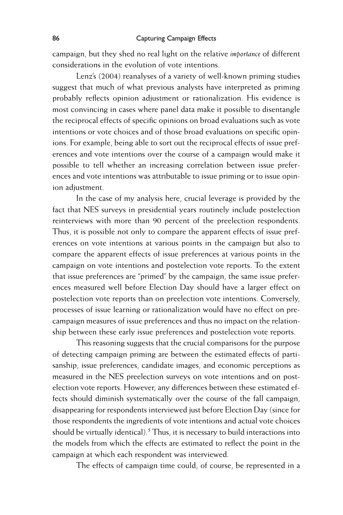campaign, but they shed no real light on the relative *importance* of different considerations in the evolution of vote intentions.

Lenz's (2004) reanalyses of a variety of well-known priming studies suggest that much of what previous analysts have interpreted as priming probably reflects opinion adjustment or rationalization. His evidence is most convincing in cases where panel data make it possible to disentangle the reciprocal effects of specific opinions on broad evaluations such as vote intentions or vote choices and of those broad evaluations on specific opinions. For example, being able to sort out the reciprocal effects of issue preferences and vote intentions over the course of a campaign would make it possible to tell whether an increasing correlation between issue preferences and vote intentions was attributable to issue priming or to issue opinion adjustment.

In the case of my analysis here, crucial leverage is provided by the fact that NES surveys in presidential years routinely include postelection reinterviews with more than 90 percent of the preelection respondents. Thus, it is possible not only to compare the apparent effects of issue preferences on vote intentions at various points in the campaign but also to compare the apparent effects of issue preferences at various points in the campaign on vote intentions and postelection vote reports. To the extent that issue preferences are "primed" by the campaign, the same issue preferences measured well before Election Day should have a larger effect on postelection vote reports than on preelection vote intentions. Conversely, processes of issue learning or rationalization would have no effect on precampaign measures of issue preferences and thus no impact on the relationship between these early issue preferences and postelection vote reports.

This reasoning suggests that the crucial comparisons for the purpose of detecting campaign priming are between the estimated effects of partisanship, issue preferences, candidate images, and economic perceptions as measured in the NES preelection surveys on vote intentions and on postelection vote reports. However, any differences between these estimated effects should diminish systematically over the course of the fall campaign, disappearing for respondents interviewed just before Election Day (since for those respondents the ingredients of vote intentions and actual vote choices should be virtually identical).<sup>5</sup> Thus, it is necessary to build interactions into the models from which the effects are estimated to reflect the point in the campaign at which each respondent was interviewed.

The effects of campaign time could, of course, be represented in a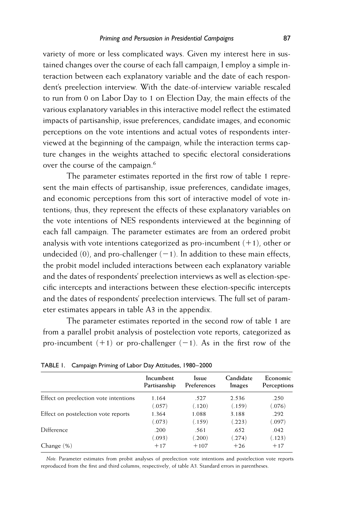variety of more or less complicated ways. Given my interest here in sustained changes over the course of each fall campaign, I employ a simple interaction between each explanatory variable and the date of each respondent's preelection interview. With the date-of-interview variable rescaled to run from 0 on Labor Day to 1 on Election Day, the main effects of the various explanatory variables in this interactive model reflect the estimated impacts of partisanship, issue preferences, candidate images, and economic perceptions on the vote intentions and actual votes of respondents interviewed at the beginning of the campaign, while the interaction terms capture changes in the weights attached to specific electoral considerations over the course of the campaign.<sup>6</sup>

The parameter estimates reported in the first row of table 1 represent the main effects of partisanship, issue preferences, candidate images, and economic perceptions from this sort of interactive model of vote intentions; thus, they represent the effects of these explanatory variables on the vote intentions of NES respondents interviewed at the beginning of each fall campaign. The parameter estimates are from an ordered probit analysis with vote intentions categorized as pro-incumbent  $(+1)$ , other or undecided  $(0)$ , and pro-challenger  $(-1)$ . In addition to these main effects, the probit model included interactions between each explanatory variable and the dates of respondents' preelection interviews as well as election-specific intercepts and interactions between these election-specific intercepts and the dates of respondents' preelection interviews. The full set of parameter estimates appears in table A3 in the appendix.

The parameter estimates reported in the second row of table 1 are from a parallel probit analysis of postelection vote reports, categorized as pro-incumbent  $(+1)$  or pro-challenger  $(-1)$ . As in the first row of the

|                                       | Incumbent<br>Partisanship | <b>Issue</b><br>Preferences | Candidate<br>Images | Economic<br>Perceptions |
|---------------------------------------|---------------------------|-----------------------------|---------------------|-------------------------|
| Effect on preelection vote intentions | 1.164                     | .527                        | 2.536               | .250                    |
|                                       | (.057)                    | (.120)                      | (.159)              | (.076)                  |
| Effect on postelection vote reports   | 1.364                     | 1.088                       | 3.188               | .292                    |
|                                       | (.073)                    | (.159)                      | (.223)              | (.097)                  |
| Difference                            | .200                      | .561                        | .652                | .042                    |
|                                       | (.093)                    | (.200)                      | (.274)              | (.123)                  |
| Change $(\%)$                         | $+17$                     | $+107$                      | $+26$               | $+17$                   |
|                                       |                           |                             |                     |                         |

TABLE 1. Campaign Priming of Labor Day Attitudes, 1980–2000

*Note:* Parameter estimates from probit analyses of preelection vote intentions and postelection vote reports reproduced from the first and third columns, respectively, of table A3. Standard errors in parentheses.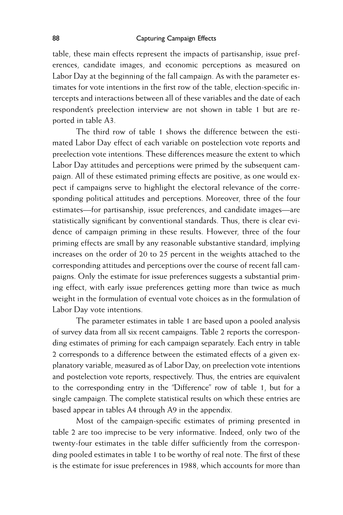table, these main effects represent the impacts of partisanship, issue preferences, candidate images, and economic perceptions as measured on Labor Day at the beginning of the fall campaign. As with the parameter estimates for vote intentions in the first row of the table, election-specific intercepts and interactions between all of these variables and the date of each respondent's preelection interview are not shown in table 1 but are reported in table A3.

The third row of table 1 shows the difference between the estimated Labor Day effect of each variable on postelection vote reports and preelection vote intentions. These differences measure the extent to which Labor Day attitudes and perceptions were primed by the subsequent campaign. All of these estimated priming effects are positive, as one would expect if campaigns serve to highlight the electoral relevance of the corresponding political attitudes and perceptions. Moreover, three of the four estimates—for partisanship, issue preferences, and candidate images—are statistically significant by conventional standards. Thus, there is clear evidence of campaign priming in these results. However, three of the four priming effects are small by any reasonable substantive standard, implying increases on the order of 20 to 25 percent in the weights attached to the corresponding attitudes and perceptions over the course of recent fall campaigns. Only the estimate for issue preferences suggests a substantial priming effect, with early issue preferences getting more than twice as much weight in the formulation of eventual vote choices as in the formulation of Labor Day vote intentions.

The parameter estimates in table 1 are based upon a pooled analysis of survey data from all six recent campaigns. Table 2 reports the corresponding estimates of priming for each campaign separately. Each entry in table 2 corresponds to a difference between the estimated effects of a given explanatory variable, measured as of Labor Day, on preelection vote intentions and postelection vote reports, respectively. Thus, the entries are equivalent to the corresponding entry in the "Difference" row of table 1, but for a single campaign. The complete statistical results on which these entries are based appear in tables A4 through A9 in the appendix.

Most of the campaign-specific estimates of priming presented in table 2 are too imprecise to be very informative. Indeed, only two of the twenty-four estimates in the table differ sufficiently from the corresponding pooled estimates in table 1 to be worthy of real note. The first of these is the estimate for issue preferences in 1988, which accounts for more than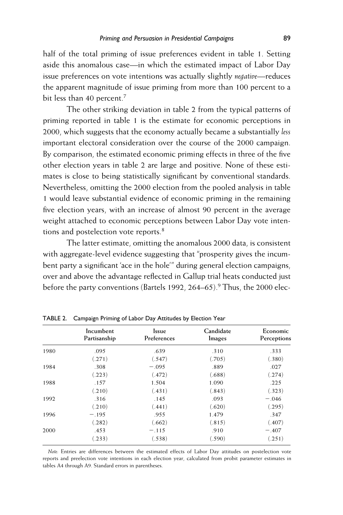half of the total priming of issue preferences evident in table 1. Setting aside this anomalous case—in which the estimated impact of Labor Day issue preferences on vote intentions was actually slightly *negative*—reduces the apparent magnitude of issue priming from more than 100 percent to a bit less than 40 percent.<sup>7</sup>

The other striking deviation in table 2 from the typical patterns of priming reported in table 1 is the estimate for economic perceptions in 2000, which suggests that the economy actually became a substantially *less* important electoral consideration over the course of the 2000 campaign. By comparison, the estimated economic priming effects in three of the five other election years in table 2 are large and positive. None of these estimates is close to being statistically significant by conventional standards. Nevertheless, omitting the 2000 election from the pooled analysis in table 1 would leave substantial evidence of economic priming in the remaining five election years, with an increase of almost 90 percent in the average weight attached to economic perceptions between Labor Day vote intentions and postelection vote reports.<sup>8</sup>

The latter estimate, omitting the anomalous 2000 data, is consistent with aggregate-level evidence suggesting that "prosperity gives the incumbent party a significant 'ace in the hole'" during general election campaigns, over and above the advantage reflected in Gallup trial heats conducted just before the party conventions (Bartels 1992, 264–65).<sup>9</sup> Thus, the 2000 elec-

|      | Incumbent<br>Partisanship | Issue<br>Preferences | Candidate<br>Images | Economic<br>Perceptions |
|------|---------------------------|----------------------|---------------------|-------------------------|
| 1980 | .095                      | .639                 | .310                | .333                    |
|      | (.271)                    | (.547)               | (.705)              | (.380)                  |
| 1984 | .308                      | $-.095$              | .889                | .027                    |
|      | (.223)                    | (.472)               | (.688)              | (.274)                  |
| 1988 | .157                      | 1.504                | 1.090               | .225                    |
|      | (.210)                    | (.431)               | (.843)              | (.323)                  |
| 1992 | .316                      | .145                 | .093                | $-.046$                 |
|      | (.210)                    | (.441)               | (.620)              | (.295)                  |
| 1996 | $-.195$                   | .955                 | 1.479               | .347                    |
|      | (.282)                    | (.662)               | (.815)              | (.407)                  |
| 2000 | .453                      | $-.115$              | .910                | $-.407$                 |
|      | (.233)                    | (.538)               | (.590)              | (.251)                  |

TABLE 2. Campaign Priming of Labor Day Attitudes by Election Year

*Note:* Entries are differences between the estimated effects of Labor Day attitudes on postelection vote reports and preelection vote intentions in each election year, calculated from probit parameter estimates in tables A4 through A9. Standard errors in parentheses.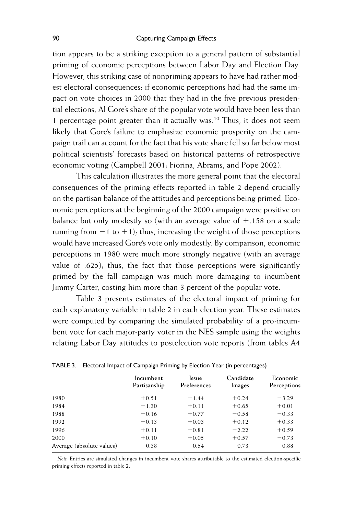tion appears to be a striking exception to a general pattern of substantial priming of economic perceptions between Labor Day and Election Day. However, this striking case of nonpriming appears to have had rather modest electoral consequences: if economic perceptions had had the same impact on vote choices in 2000 that they had in the five previous presidential elections, Al Gore's share of the popular vote would have been less than 1 percentage point greater than it actually was.10 Thus, it does not seem likely that Gore's failure to emphasize economic prosperity on the campaign trail can account for the fact that his vote share fell so far below most political scientists' forecasts based on historical patterns of retrospective economic voting (Campbell 2001; Fiorina, Abrams, and Pope 2002).

This calculation illustrates the more general point that the electoral consequences of the priming effects reported in table 2 depend crucially on the partisan balance of the attitudes and perceptions being primed. Economic perceptions at the beginning of the 2000 campaign were positive on balance but only modestly so (with an average value of  $+158$  on a scale running from  $-1$  to  $+1$ ); thus, increasing the weight of those perceptions would have increased Gore's vote only modestly. By comparison, economic perceptions in 1980 were much more strongly negative (with an average value of  $.625$ ; thus, the fact that those perceptions were significantly primed by the fall campaign was much more damaging to incumbent Jimmy Carter, costing him more than 3 percent of the popular vote.

Table 3 presents estimates of the electoral impact of priming for each explanatory variable in table 2 in each election year. These estimates were computed by comparing the simulated probability of a pro-incumbent vote for each major-party voter in the NES sample using the weights relating Labor Day attitudes to postelection vote reports (from tables A4

|                           | Incumbent<br>Partisanship | Issue<br>Preferences | Candidate<br>Images | Economic<br>Perceptions |
|---------------------------|---------------------------|----------------------|---------------------|-------------------------|
| 1980                      | $+0.51$                   | $-1.44$              | $+0.24$             | $-3.29$                 |
| 1984                      | $-1.30$                   | $+0.11$              | $+0.65$             | $+0.01$                 |
| 1988                      | $-0.16$                   | $+0.77$              | $-0.58$             | $-0.33$                 |
| 1992                      | $-0.13$                   | $+0.03$              | $+0.12$             | $+0.33$                 |
| 1996                      | $+0.11$                   | $-0.81$              | $-2.22$             | $+0.59$                 |
| 2000                      | $+0.10$                   | $+0.05$              | $+0.57$             | $-0.73$                 |
| Average (absolute values) | 0.38                      | 0.54                 | 0.73                | 0.88                    |

TABLE 3. Electoral Impact of Campaign Priming by Election Year (in percentages)

*Note:* Entries are simulated changes in incumbent vote shares attributable to the estimated election-specific priming effects reported in table 2.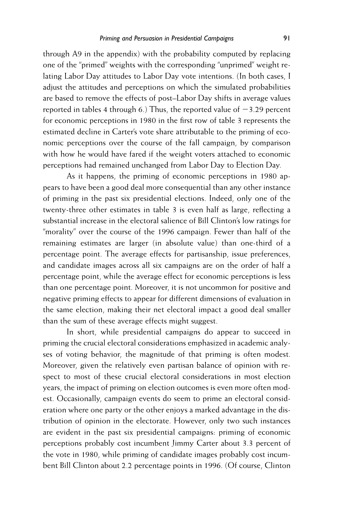through A9 in the appendix) with the probability computed by replacing one of the "primed" weights with the corresponding "unprimed" weight relating Labor Day attitudes to Labor Day vote intentions. (In both cases, I adjust the attitudes and perceptions on which the simulated probabilities are based to remove the effects of post–Labor Day shifts in average values reported in tables 4 through 6.) Thus, the reported value of  $-3.29$  percent for economic perceptions in 1980 in the first row of table 3 represents the estimated decline in Carter's vote share attributable to the priming of economic perceptions over the course of the fall campaign, by comparison with how he would have fared if the weight voters attached to economic perceptions had remained unchanged from Labor Day to Election Day.

As it happens, the priming of economic perceptions in 1980 appears to have been a good deal more consequential than any other instance of priming in the past six presidential elections. Indeed, only one of the twenty-three other estimates in table 3 is even half as large, reflecting a substantial increase in the electoral salience of Bill Clinton's low ratings for "morality" over the course of the 1996 campaign. Fewer than half of the remaining estimates are larger (in absolute value) than one-third of a percentage point. The average effects for partisanship, issue preferences, and candidate images across all six campaigns are on the order of half a percentage point, while the average effect for economic perceptions is less than one percentage point. Moreover, it is not uncommon for positive and negative priming effects to appear for different dimensions of evaluation in the same election, making their net electoral impact a good deal smaller than the sum of these average effects might suggest.

In short, while presidential campaigns do appear to succeed in priming the crucial electoral considerations emphasized in academic analyses of voting behavior, the magnitude of that priming is often modest. Moreover, given the relatively even partisan balance of opinion with respect to most of these crucial electoral considerations in most election years, the impact of priming on election outcomes is even more often modest. Occasionally, campaign events do seem to prime an electoral consideration where one party or the other enjoys a marked advantage in the distribution of opinion in the electorate. However, only two such instances are evident in the past six presidential campaigns: priming of economic perceptions probably cost incumbent Jimmy Carter about 3.3 percent of the vote in 1980, while priming of candidate images probably cost incumbent Bill Clinton about 2.2 percentage points in 1996. (Of course, Clinton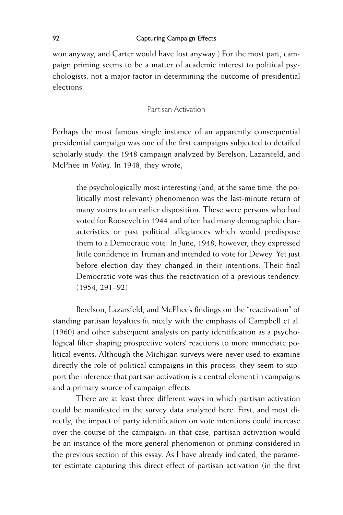won anyway, and Carter would have lost anyway.) For the most part, campaign priming seems to be a matter of academic interest to political psychologists, not a major factor in determining the outcome of presidential elections.

## Partisan Activation

Perhaps the most famous single instance of an apparently consequential presidential campaign was one of the first campaigns subjected to detailed scholarly study: the 1948 campaign analyzed by Berelson, Lazarsfeld, and McPhee in *Voting.* In 1948, they wrote,

the psychologically most interesting (and, at the same time, the politically most relevant) phenomenon was the last-minute return of many voters to an earlier disposition. These were persons who had voted for Roosevelt in 1944 and often had many demographic characteristics or past political allegiances which would predispose them to a Democratic vote. In June, 1948, however, they expressed little confidence in Truman and intended to vote for Dewey. Yet just before election day they changed in their intentions. Their final Democratic vote was thus the reactivation of a previous tendency. (1954, 291–92)

Berelson, Lazarsfeld, and McPhee's findings on the "reactivation" of standing partisan loyalties fit nicely with the emphasis of Campbell et al.  $(1960)$  and other subsequent analysts on party identification as a psychological filter shaping prospective voters' reactions to more immediate political events. Although the Michigan surveys were never used to examine directly the role of political campaigns in this process, they seem to support the inference that partisan activation is a central element in campaigns and a primary source of campaign effects.

There are at least three different ways in which partisan activation could be manifested in the survey data analyzed here. First, and most directly, the impact of party identification on vote intentions could increase over the course of the campaign; in that case, partisan activation would be an instance of the more general phenomenon of priming considered in the previous section of this essay. As I have already indicated, the parameter estimate capturing this direct effect of partisan activation (in the first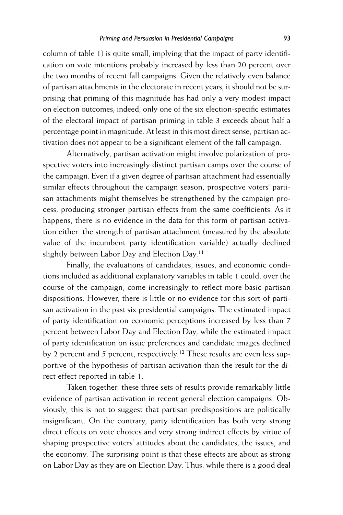column of table 1) is quite small, implying that the impact of party identification on vote intentions probably increased by less than 20 percent over the two months of recent fall campaigns. Given the relatively even balance of partisan attachments in the electorate in recent years, it should not be surprising that priming of this magnitude has had only a very modest impact on election outcomes; indeed, only one of the six election-specific estimates of the electoral impact of partisan priming in table 3 exceeds about half a percentage point in magnitude. At least in this most direct sense, partisan activation does not appear to be a significant element of the fall campaign.

Alternatively, partisan activation might involve polarization of prospective voters into increasingly distinct partisan camps over the course of the campaign. Even if a given degree of partisan attachment had essentially similar effects throughout the campaign season, prospective voters' partisan attachments might themselves be strengthened by the campaign process, producing stronger partisan effects from the same coefficients. As it happens, there is no evidence in the data for this form of partisan activation either: the strength of partisan attachment (measured by the absolute value of the incumbent party identification variable) actually declined slightly between Labor Day and Election Day.<sup>11</sup>

Finally, the evaluations of candidates, issues, and economic conditions included as additional explanatory variables in table 1 could, over the course of the campaign, come increasingly to reflect more basic partisan dispositions. However, there is little or no evidence for this sort of partisan activation in the past six presidential campaigns. The estimated impact of party identification on economic perceptions increased by less than 7 percent between Labor Day and Election Day, while the estimated impact of party identification on issue preferences and candidate images declined by 2 percent and 5 percent, respectively.<sup>12</sup> These results are even less supportive of the hypothesis of partisan activation than the result for the direct effect reported in table 1.

Taken together, these three sets of results provide remarkably little evidence of partisan activation in recent general election campaigns. Obviously, this is not to suggest that partisan predispositions are politically insignificant. On the contrary, party identification has both very strong direct effects on vote choices and very strong indirect effects by virtue of shaping prospective voters' attitudes about the candidates, the issues, and the economy. The surprising point is that these effects are about as strong on Labor Day as they are on Election Day. Thus, while there is a good deal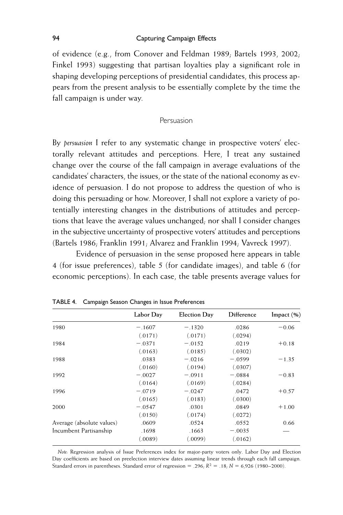of evidence (e.g., from Conover and Feldman 1989; Bartels 1993, 2002; Finkel 1993) suggesting that partisan loyalties play a significant role in shaping developing perceptions of presidential candidates, this process appears from the present analysis to be essentially complete by the time the fall campaign is under way.

## Persuasion

By *persuasion* I refer to any systematic change in prospective voters' electorally relevant attitudes and perceptions. Here, I treat any sustained change over the course of the fall campaign in average evaluations of the candidates' characters, the issues, or the state of the national economy as evidence of persuasion. I do not propose to address the question of who is doing this persuading or how. Moreover, I shall not explore a variety of potentially interesting changes in the distributions of attitudes and perceptions that leave the average values unchanged; nor shall I consider changes in the subjective uncertainty of prospective voters' attitudes and perceptions (Bartels 1986; Franklin 1991; Alvarez and Franklin 1994; Vavreck 1997).

Evidence of persuasion in the sense proposed here appears in table 4 (for issue preferences), table 5 (for candidate images), and table 6 (for economic perceptions). In each case, the table presents average values for

|                           | Labor Day | <b>Election Day</b> | Difference | Impact $(\% )$ |
|---------------------------|-----------|---------------------|------------|----------------|
| 1980                      | $-.1607$  | $-.1320$            | .0286      | $-0.06$        |
|                           | (.0171)   | (.0171)             | (.0294)    |                |
| 1984                      | $-.0371$  | $-.0152$            | .0219      | $+0.18$        |
|                           | (.0163)   | (.0185)             | (.0302)    |                |
| 1988                      | .0383     | $-.0216$            | $-.0599$   | $-1.35$        |
|                           | (.0160)   | (.0194)             | (.0307)    |                |
| 1992                      | $-.0027$  | $-.0911$            | $-.0884$   | $-0.83$        |
|                           | (.0164)   | (.0169)             | (.0284)    |                |
| 1996                      | $-.0719$  | $-.0247$            | .0472      | $+0.57$        |
|                           | (.0165)   | (.0183)             | (.0300)    |                |
| 2000                      | $-.0547$  | .0301               | .0849      | $+1.00$        |
|                           | (.0150)   | (.0174)             | (.0272)    |                |
| Average (absolute values) | .0609     | .0524               | .0552      | 0.66           |
| Incumbent Partisanship    | .1698     | .1663               | $-.0035$   |                |
|                           | (.0089)   | (.0099)             | (.0162)    |                |

TABLE 4. Campaign Season Changes in Issue Preferences

*Note:* Regression analysis of Issue Preferences index for major-party voters only. Labor Day and Election Day coefficients are based on preelection interview dates assuming linear trends through each fall campaign. Standard errors in parentheses. Standard error of regression = .296;  $R^2 = .18$ ;  $N = 6,926$  (1980–2000).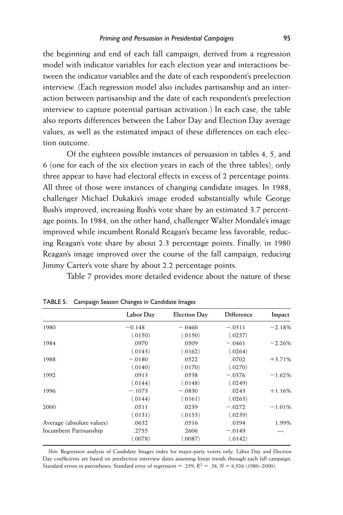the beginning and end of each fall campaign, derived from a regression model with indicator variables for each election year and interactions between the indicator variables and the date of each respondent's preelection interview. (Each regression model also includes partisanship and an interaction between partisanship and the date of each respondent's preelection interview to capture potential partisan activation.) In each case, the table also reports differences between the Labor Day and Election Day average values, as well as the estimated impact of these differences on each election outcome.

Of the eighteen possible instances of persuasion in tables 4, 5, and 6 (one for each of the six election years in each of the three tables), only three appear to have had electoral effects in excess of 2 percentage points. All three of those were instances of changing candidate images. In 1988, challenger Michael Dukakis's image eroded substantially while George Bush's improved, increasing Bush's vote share by an estimated 3.7 percentage points. In 1984, on the other hand, challenger Walter Mondale's image improved while incumbent Ronald Reagan's became less favorable, reducing Reagan's vote share by about 2.3 percentage points. Finally, in 1980 Reagan's image improved over the course of the fall campaign, reducing Jimmy Carter's vote share by about 2.2 percentage points.

Table 7 provides more detailed evidence about the nature of these

|                           | Labor Day | <b>Election Day</b> | Difference | Impact   |
|---------------------------|-----------|---------------------|------------|----------|
| 1980                      | $-0.148$  | $-.0460$            | $-.0311$   | $-2.18%$ |
|                           | (.0150)   | (.0150)             | (.0257)    |          |
| 1984                      | .0970     | .0509               | $-.0461$   | $-2.26%$ |
|                           | (.0143)   | (.0162)             | (.0264)    |          |
| 1988                      | $-.0180$  | .0522               | .0702      | $+3.71%$ |
|                           | (.0140)   | (.0170)             | (.0270)    |          |
| 1992                      | .0913     | .0538               | $-.0376$   | $-1.62%$ |
|                           | (.0144)   | (.0148)             | (.0249)    |          |
| 1996                      | $-.1073$  | $-.0830$            | .0243      | $+1.16%$ |
|                           | (.0144)   | (.0161)             | (.0263)    |          |
| 2000                      | .0511     | .0239               | $-.0272$   | $-1.01%$ |
|                           | (.0131)   | (.0153)             | (.0239)    |          |
| Average (absolute values) | .0632     | .0516               | .0394      | 1.99%    |
| Incumbent Partisanship    | .2755     | .2606               | $-.0149$   |          |
|                           | (.0078)   | (.0087)             | (.0142)    |          |
|                           |           |                     |            |          |

TABLE 5. Campaign Season Changes in Candidate Images

*Note:* Regression analysis of Candidate Images index for major-party voters only. Labor Day and Election Day coefficients are based on preelection interview dates assuming linear trends through each fall campaign. Standard errors in parentheses. Standard error of regression =  $.259$ ;  $R^2 = .38$ ;  $N = 6,926$  (1980–2000).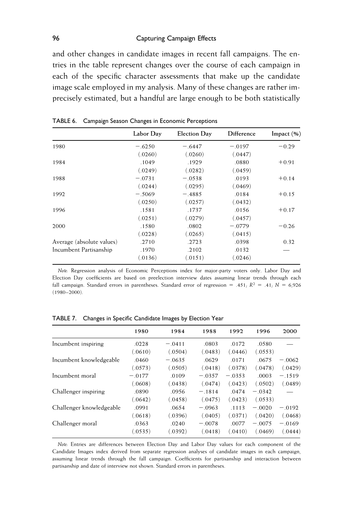and other changes in candidate images in recent fall campaigns. The entries in the table represent changes over the course of each campaign in each of the specific character assessments that make up the candidate image scale employed in my analysis. Many of these changes are rather imprecisely estimated, but a handful are large enough to be both statistically

|                           | Labor Day | <b>Election Day</b> | Difference | Impact $(\% )$ |
|---------------------------|-----------|---------------------|------------|----------------|
| 1980                      | $-.6250$  | $-.6447$            | $-.0197$   | $-0.29$        |
|                           | (.0260)   | (.0260)             | (.0447)    |                |
| 1984                      | .1049     | .1929               | .0880      | $+0.91$        |
|                           | (.0249)   | (.0282)             | (.0459)    |                |
| 1988                      | $-.0731$  | $-.0538$            | .0193      | $+0.14$        |
|                           | (.0244)   | (.0295)             | (.0469)    |                |
| 1992                      | $-.5069$  | $-.4885$            | .0184      | $+0.15$        |
|                           | (.0250)   | (.0257)             | (.0432)    |                |
| 1996                      | .1581     | .1737               | .0156      | $+0.17$        |
|                           | (.0251)   | (.0279)             | (.0457)    |                |
| 2000                      | .1580     | .0802               | $-.0779$   | $-0.26$        |
|                           | (.0228)   | (.0265)             | (.0415)    |                |
| Average (absolute values) | .2710     | .2723               | .0398      | 0.32           |
| Incumbent Partisanship    | .1970     | .2102               | .0132      |                |
|                           | (.0136)   | (.0151)             | (.0246)    |                |

TABLE 6. Campaign Season Changes in Economic Perceptions

*Note:* Regression analysis of Economic Perceptions index for major-party voters only. Labor Day and Election Day coefficients are based on preelection interview dates assuming linear trends through each fall campaign. Standard errors in parentheses. Standard error of regression = .451;  $R^2 = .41$ ;  $N = 6.926$ (1980–2000).

|                          | 1980     | 1984     | 1988     | 1992     | 1996     | 2000     |
|--------------------------|----------|----------|----------|----------|----------|----------|
| Incumbent inspiring      | .0228    | $-.0411$ | .0803    | .0172    | .0580    |          |
|                          | (.0610)  | (.0504)  | (.0483)  | (.0446)  | (.0553)  |          |
| Incumbent knowledgeable  | .0460    | $-.0635$ | .0629    | .0171    | .0675    | $-.0062$ |
|                          | (.0573)  | (.0505)  | (.0418)  | (.0378)  | (.0478)  | (.0429)  |
| Incumbent moral          | $-.0177$ | .0109    | $-.0357$ | $-.0353$ | .0003    | $-.1519$ |
|                          | (.0608)  | (.0438)  | (.0474)  | (.0423)  | (.0502)  | (.0489)  |
| Challenger inspiring     | .0890    | .0956    | $-.1814$ | .0474    | $-.0342$ |          |
|                          | (.0642)  | (.0458)  | (.0475)  | (.0423)  | (.0533)  |          |
| Challenger knowledgeable | .0991    | .0654    | $-.0963$ | .1113    | $-.0020$ | $-.0192$ |
|                          | (.0618)  | (.0396)  | (.0405)  | (.0371)  | (.0420)  | (.0468)  |
| Challenger moral         | .0363    | .0240    | $-.0078$ | .0077    | $-.0075$ | $-.0169$ |
|                          | (.0535)  | (.0392)  | (.0418)  | (.0410)  | (.0469)  | (.0444)  |

TABLE 7. Changes in Specific Candidate Images by Election Year

*Note:* Entries are differences between Election Day and Labor Day values for each component of the Candidate Images index derived from separate regression analyses of candidate images in each campaign, assuming linear trends through the fall campaign. Coefficients for partisanship and interaction between partisanship and date of interview not shown. Standard errors in parentheses.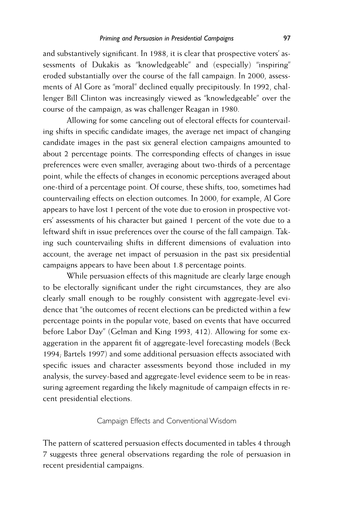and substantively significant. In 1988, it is clear that prospective voters' assessments of Dukakis as "knowledgeable" and (especially) "inspiring" eroded substantially over the course of the fall campaign. In 2000, assessments of Al Gore as "moral" declined equally precipitously. In 1992, challenger Bill Clinton was increasingly viewed as "knowledgeable" over the course of the campaign, as was challenger Reagan in 1980.

Allowing for some canceling out of electoral effects for countervailing shifts in specific candidate images, the average net impact of changing candidate images in the past six general election campaigns amounted to about 2 percentage points. The corresponding effects of changes in issue preferences were even smaller, averaging about two-thirds of a percentage point, while the effects of changes in economic perceptions averaged about one-third of a percentage point. Of course, these shifts, too, sometimes had countervailing effects on election outcomes. In 2000, for example, Al Gore appears to have lost 1 percent of the vote due to erosion in prospective voters' assessments of his character but gained 1 percent of the vote due to a leftward shift in issue preferences over the course of the fall campaign. Taking such countervailing shifts in different dimensions of evaluation into account, the average net impact of persuasion in the past six presidential campaigns appears to have been about 1.8 percentage points.

While persuasion effects of this magnitude are clearly large enough to be electorally significant under the right circumstances, they are also clearly small enough to be roughly consistent with aggregate-level evidence that "the outcomes of recent elections can be predicted within a few percentage points in the popular vote, based on events that have occurred before Labor Day" (Gelman and King 1993, 412). Allowing for some exaggeration in the apparent fit of aggregate-level forecasting models (Beck 1994; Bartels 1997) and some additional persuasion effects associated with specific issues and character assessments beyond those included in my analysis, the survey-based and aggregate-level evidence seem to be in reassuring agreement regarding the likely magnitude of campaign effects in recent presidential elections.

## Campaign Effects and Conventional Wisdom

The pattern of scattered persuasion effects documented in tables 4 through 7 suggests three general observations regarding the role of persuasion in recent presidential campaigns.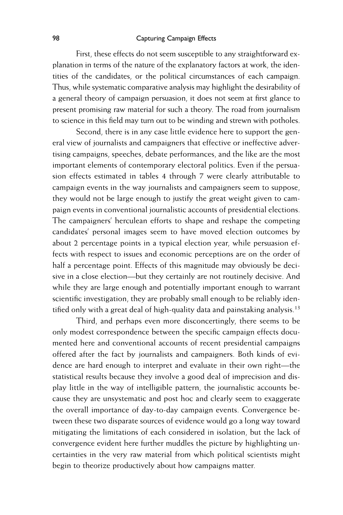First, these effects do not seem susceptible to any straightforward explanation in terms of the nature of the explanatory factors at work, the identities of the candidates, or the political circumstances of each campaign. Thus, while systematic comparative analysis may highlight the desirability of a general theory of campaign persuasion, it does not seem at first glance to present promising raw material for such a theory. The road from journalism to science in this field may turn out to be winding and strewn with potholes.

Second, there is in any case little evidence here to support the general view of journalists and campaigners that effective or ineffective advertising campaigns, speeches, debate performances, and the like are the most important elements of contemporary electoral politics. Even if the persuasion effects estimated in tables 4 through 7 were clearly attributable to campaign events in the way journalists and campaigners seem to suppose, they would not be large enough to justify the great weight given to campaign events in conventional journalistic accounts of presidential elections. The campaigners' herculean efforts to shape and reshape the competing candidates' personal images seem to have moved election outcomes by about 2 percentage points in a typical election year, while persuasion effects with respect to issues and economic perceptions are on the order of half a percentage point. Effects of this magnitude may obviously be decisive in a close election—but they certainly are not routinely decisive. And while they are large enough and potentially important enough to warrant scientific investigation, they are probably small enough to be reliably identified only with a great deal of high-quality data and painstaking analysis.<sup>13</sup>

Third, and perhaps even more disconcertingly, there seems to be only modest correspondence between the specific campaign effects documented here and conventional accounts of recent presidential campaigns offered after the fact by journalists and campaigners. Both kinds of evidence are hard enough to interpret and evaluate in their own right—the statistical results because they involve a good deal of imprecision and display little in the way of intelligible pattern, the journalistic accounts because they are unsystematic and post hoc and clearly seem to exaggerate the overall importance of day-to-day campaign events. Convergence between these two disparate sources of evidence would go a long way toward mitigating the limitations of each considered in isolation, but the lack of convergence evident here further muddles the picture by highlighting uncertainties in the very raw material from which political scientists might begin to theorize productively about how campaigns matter.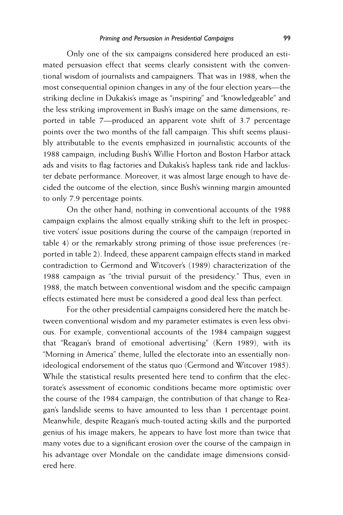Only one of the six campaigns considered here produced an estimated persuasion effect that seems clearly consistent with the conventional wisdom of journalists and campaigners. That was in 1988, when the most consequential opinion changes in any of the four election years—the striking decline in Dukakis's image as "inspiring" and "knowledgeable" and the less striking improvement in Bush's image on the same dimensions, reported in table 7—produced an apparent vote shift of 3.7 percentage points over the two months of the fall campaign. This shift seems plausibly attributable to the events emphasized in journalistic accounts of the 1988 campaign, including Bush's Willie Horton and Boston Harbor attack ads and visits to flag factories and Dukakis's hapless tank ride and lackluster debate performance. Moreover, it was almost large enough to have decided the outcome of the election, since Bush's winning margin amounted to only 7.9 percentage points.

On the other hand, nothing in conventional accounts of the 1988 campaign explains the almost equally striking shift to the left in prospective voters' issue positions during the course of the campaign (reported in table 4) or the remarkably strong priming of those issue preferences (reported in table 2). Indeed, these apparent campaign effects stand in marked contradiction to Germond and Witcover's (1989) characterization of the 1988 campaign as "the trivial pursuit of the presidency." Thus, even in 1988, the match between conventional wisdom and the specific campaign effects estimated here must be considered a good deal less than perfect.

For the other presidential campaigns considered here the match between conventional wisdom and my parameter estimates is even less obvious. For example, conventional accounts of the 1984 campaign suggest that "Reagan's brand of emotional advertising" (Kern 1989), with its "Morning in America" theme, lulled the electorate into an essentially nonideological endorsement of the status quo (Germond and Witcover 1985). While the statistical results presented here tend to confirm that the electorate's assessment of economic conditions became more optimistic over the course of the 1984 campaign, the contribution of that change to Reagan's landslide seems to have amounted to less than 1 percentage point. Meanwhile, despite Reagan's much-touted acting skills and the purported genius of his image makers, he appears to have lost more than twice that many votes due to a significant erosion over the course of the campaign in his advantage over Mondale on the candidate image dimensions considered here.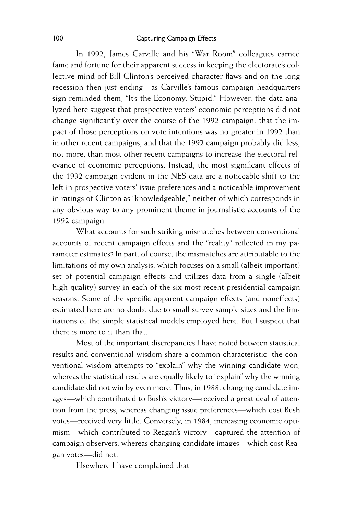In 1992, James Carville and his "War Room" colleagues earned fame and fortune for their apparent success in keeping the electorate's collective mind off Bill Clinton's perceived character flaws and on the long recession then just ending—as Carville's famous campaign headquarters sign reminded them, "It's the Economy, Stupid." However, the data analyzed here suggest that prospective voters' economic perceptions did not change significantly over the course of the 1992 campaign, that the impact of those perceptions on vote intentions was no greater in 1992 than in other recent campaigns, and that the 1992 campaign probably did less, not more, than most other recent campaigns to increase the electoral relevance of economic perceptions. Instead, the most significant effects of the 1992 campaign evident in the NES data are a noticeable shift to the left in prospective voters' issue preferences and a noticeable improvement in ratings of Clinton as "knowledgeable," neither of which corresponds in any obvious way to any prominent theme in journalistic accounts of the 1992 campaign.

What accounts for such striking mismatches between conventional accounts of recent campaign effects and the "reality" reflected in my parameter estimates? In part, of course, the mismatches are attributable to the limitations of my own analysis, which focuses on a small (albeit important) set of potential campaign effects and utilizes data from a single (albeit high-quality) survey in each of the six most recent presidential campaign seasons. Some of the specific apparent campaign effects (and noneffects) estimated here are no doubt due to small survey sample sizes and the limitations of the simple statistical models employed here. But I suspect that there is more to it than that.

Most of the important discrepancies I have noted between statistical results and conventional wisdom share a common characteristic: the conventional wisdom attempts to "explain" why the winning candidate won, whereas the statistical results are equally likely to "explain" why the winning candidate did not win by even more. Thus, in 1988, changing candidate images—which contributed to Bush's victory—received a great deal of attention from the press, whereas changing issue preferences—which cost Bush votes—received very little. Conversely, in 1984, increasing economic optimism—which contributed to Reagan's victory—captured the attention of campaign observers, whereas changing candidate images—which cost Reagan votes—did not.

Elsewhere I have complained that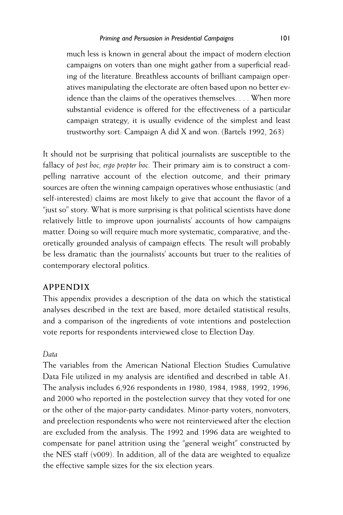much less is known in general about the impact of modern election campaigns on voters than one might gather from a superficial reading of the literature. Breathless accounts of brilliant campaign operatives manipulating the electorate are often based upon no better evidence than the claims of the operatives themselves. . . . When more substantial evidence is offered for the effectiveness of a particular campaign strategy, it is usually evidence of the simplest and least trustworthy sort: Campaign A did X and won. (Bartels 1992, 263)

It should not be surprising that political journalists are susceptible to the fallacy of *post hoc, ergo propter hoc.* Their primary aim is to construct a compelling narrative account of the election outcome, and their primary sources are often the winning campaign operatives whose enthusiastic (and self-interested) claims are most likely to give that account the flavor of a "just so" story. What is more surprising is that political scientists have done relatively little to improve upon journalists' accounts of how campaigns matter. Doing so will require much more systematic, comparative, and theoretically grounded analysis of campaign effects. The result will probably be less dramatic than the journalists' accounts but truer to the realities of contemporary electoral politics.

## **APPENDIX**

This appendix provides a description of the data on which the statistical analyses described in the text are based, more detailed statistical results, and a comparison of the ingredients of vote intentions and postelection vote reports for respondents interviewed close to Election Day.

## *Data*

The variables from the American National Election Studies Cumulative Data File utilized in my analysis are identified and described in table A1. The analysis includes 6,926 respondents in 1980, 1984, 1988, 1992, 1996, and 2000 who reported in the postelection survey that they voted for one or the other of the major-party candidates. Minor-party voters, nonvoters, and preelection respondents who were not reinterviewed after the election are excluded from the analysis. The 1992 and 1996 data are weighted to compensate for panel attrition using the "general weight" constructed by the NES staff (v009). In addition, all of the data are weighted to equalize the effective sample sizes for the six election years.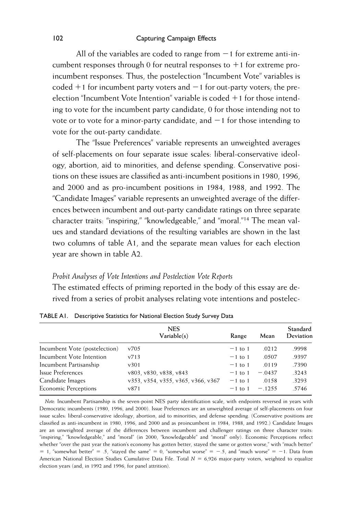All of the variables are coded to range from  $-1$  for extreme anti-incumbent responses through 0 for neutral responses to  $+1$  for extreme proincumbent responses. Thus, the postelection "Incumbent Vote" variables is coded  $+1$  for incumbent party voters and  $-1$  for out-party voters, the preelection "Incumbent Vote Intention" variable is coded  $+1$  for those intending to vote for the incumbent party candidate, 0 for those intending not to vote or to vote for a minor-party candidate, and  $-1$  for those intending to vote for the out-party candidate.

The "Issue Preferences" variable represents an unweighted averages of self-placements on four separate issue scales: liberal-conservative ideology, abortion, aid to minorities, and defense spending. Conservative positions on these issues are classified as anti-incumbent positions in 1980, 1996, and 2000 and as pro-incumbent positions in 1984, 1988, and 1992. The "Candidate Images" variable represents an unweighted average of the differences between incumbent and out-party candidate ratings on three separate character traits: "inspiring," "knowledgeable," and "moral."14 The mean values and standard deviations of the resulting variables are shown in the last two columns of table A1, and the separate mean values for each election year are shown in table A2.

## *Probit Analyses of Vote Intentions and Postelection Vote Reports*

The estimated effects of priming reported in the body of this essay are derived from a series of probit analyses relating vote intentions and postelec-

|                               | <b>NES</b><br>Variable(s)          | Range     | Mean     | Standard<br>Deviation |
|-------------------------------|------------------------------------|-----------|----------|-----------------------|
|                               |                                    |           |          |                       |
| Incumbent Vote (postelection) | v705                               | $-1$ to 1 | .0212    | .9998                 |
| Incumbent Vote Intention      | v713                               | $-1$ to 1 | .0507    | .9397                 |
| Incumbent Partisanship        | v301                               | $-1$ to 1 | .0119    | .7390                 |
| Issue Preferences             | v803, v830, v838, v843             | $-1$ to 1 | $-.0437$ | .3243                 |
| Candidate Images              | v353, v354, v355, v365, v366, v367 | $-1$ to 1 | .0158    | .3293                 |
| <b>Economic Perceptions</b>   | v871                               | $-1$ to 1 | $-.1255$ | .5746                 |

| <b>TABLE A1.</b> Descriptive Statistics for National Election Study Survey Data |  |
|---------------------------------------------------------------------------------|--|
|---------------------------------------------------------------------------------|--|

*Note:* Incumbent Partisanship is the seven-point NES party identification scale, with endpoints reversed in years with Democratic incumbents (1980, 1996, and 2000). Issue Preferences are an unweighted average of self-placements on four issue scales: liberal-conservative ideology, abortion, aid to minorities, and defense spending. (Conservative positions are classified as anti-incumbent in 1980, 1996, and 2000 and as proincumbent in 1984, 1988, and 1992.) Candidate Images are an unweighted average of the differences between incumbent and challenger ratings on three character traits: "inspiring," "knowledgeable," and "moral" (in 2000, "knowledgeable" and "moral" only). Economic Perceptions reflect whether "over the past year the nation's economy has gotten better, stayed the same or gotten worse," with "much better"  $= 1$ , "somewhat better" = .5, "stayed the same" = 0, "somewhat worse" = -.5, and "much worse" = -1. Data from American National Election Studies Cumulative Data File. Total  $N = 6.926$  major-party voters, weighted to equalize election years (and, in 1992 and 1996, for panel attrition).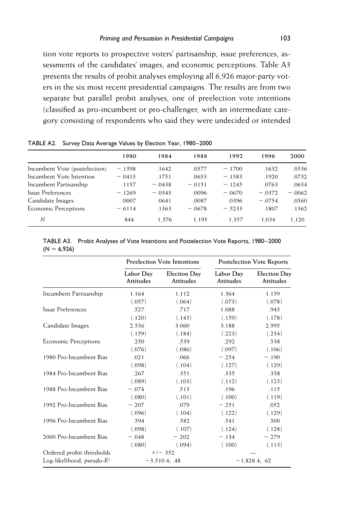tion vote reports to prospective voters' partisanship, issue preferences, assessments of the candidates' images, and economic perceptions. Table A3 presents the results of probit analyses employing all 6,926 major-party voters in the six most recent presidential campaigns. The results are from two separate but parallel probit analyses, one of preelection vote intentions (classified as pro-incumbent or pro-challenger, with an intermediate category consisting of respondents who said they were undecided or intended

|                               | 1980     | 1984     | 1988     | 1992     | 1996     | 2000     |
|-------------------------------|----------|----------|----------|----------|----------|----------|
| Incumbent Vote (postelection) | $-.1398$ | .1642    | .0577    | $-.1700$ | .1632    | .0536    |
| Incumbent Vote Intention      | $-.0415$ | .1751    | .0653    | $-.1583$ | .1920    | .0732    |
| Incumbent Partisanship        | .1157    | $-.0438$ | $-.0151$ | $-.1245$ | .0763    | .0634    |
| Issue Preferences             | $-.1269$ | $-.0345$ | .0096    | $-.0670$ | $-.0372$ | $-.0062$ |
| Candidate Images              | .0007    | .0641    | .0087    | .0396    | $-.0754$ | .0560    |
| <b>Economic Perceptions</b>   | $-.6114$ | .1363    | $-.0678$ | $-.5233$ | .1807    | .1362    |
| N                             | 844      | 1.376    | 1,195    | 1,357    | 1,034    | 1,120    |

TABLE A2. Survey Data Average Values by Election Year, 1980–2000

TABLE A3. Probit Analyses of Vote Intentions and Postelection Vote Reports, 1980–2000  $(N = 6,926)$ 

|                               |                        | <b>Preelection Vote Intentions</b> | <b>Postelection Vote Reports</b> |                                  |  |
|-------------------------------|------------------------|------------------------------------|----------------------------------|----------------------------------|--|
|                               | Labor Day<br>Attitudes | <b>Election Day</b><br>Attitudes   | Labor Day<br>Attitudes           | <b>Election Day</b><br>Attitudes |  |
| Incumbent Partisanship        | 1.164                  | 1.112                              | 1.364                            | 1.159                            |  |
|                               | (.057)                 | (.064)                             | (.073)                           | (.078)                           |  |
| Issue Preferences             | .527                   | .717                               | 1.088                            | .945                             |  |
|                               | (.120)                 | (.143)                             | (.159)                           | (.178)                           |  |
| Candidate Images              | 2.536                  | 3.060                              | 3.188                            | 2.995                            |  |
|                               | (.159)                 | (.184)                             | (.223)                           | (.234)                           |  |
| <b>Economic Perceptions</b>   | .250                   | .539                               | .292                             | .538                             |  |
|                               | (.076)                 | (.086)                             | (.097)                           | (.106)                           |  |
| 1980 Pro-Incumbent Bias       | .021                   | .066                               | $-.254$                          | $-.190$                          |  |
|                               | (.098)                 | (.104)                             | (.127)                           | (.129)                           |  |
| 1984 Pro-Incumbent Bias       | .267                   | .351                               | .335                             | .338                             |  |
|                               | (.089)                 | (.103)                             | (.112)                           | (.123)                           |  |
| 1988 Pro-Incumbent Bias       | $-.074$                | .513                               | .196                             | .115                             |  |
|                               | (.080)                 | (.101)                             | (.100)                           | (.119)                           |  |
| 1992 Pro-Incumbent Bias       | $-.207$                | .079                               | $-.251$                          | .052                             |  |
|                               | (.096)                 | (.104)                             | (.122)                           | (.129)                           |  |
| 1996 Pro-Incumbent Bias       | .594                   | .582                               | .541                             | .500                             |  |
|                               | (.098)                 | (.107)                             | (.124)                           | (.128)                           |  |
| 2000 Pro-Incumbent Bias       | $-.048$                | $-.202$                            | $-.134$                          | $-.279$                          |  |
|                               | (.080)                 | (.094)                             | (.100)                           | (.113)                           |  |
| Ordered probit thresholds     |                        | $+/- .352$                         |                                  |                                  |  |
| Log-likelihood, pseudo- $R^2$ |                        | $-3.510.4; .48$                    | $-1,828.4, .62$                  |                                  |  |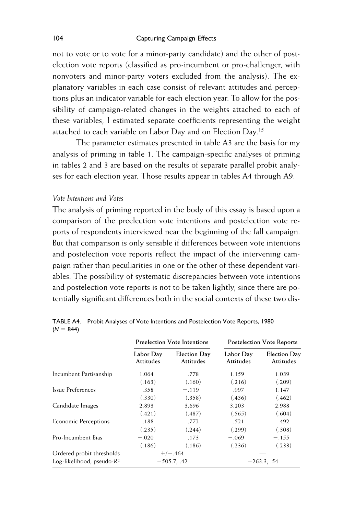not to vote or to vote for a minor-party candidate) and the other of postelection vote reports (classified as pro-incumbent or pro-challenger, with nonvoters and minor-party voters excluded from the analysis). The explanatory variables in each case consist of relevant attitudes and perceptions plus an indicator variable for each election year. To allow for the possibility of campaign-related changes in the weights attached to each of these variables, I estimated separate coefficients representing the weight attached to each variable on Labor Day and on Election Day.<sup>15</sup>

The parameter estimates presented in table A3 are the basis for my analysis of priming in table 1. The campaign-specific analyses of priming in tables 2 and 3 are based on the results of separate parallel probit analyses for each election year. Those results appear in tables A4 through A9.

## *Vote Intentions and Votes*

The analysis of priming reported in the body of this essay is based upon a comparison of the preelection vote intentions and postelection vote reports of respondents interviewed near the beginning of the fall campaign. But that comparison is only sensible if differences between vote intentions and postelection vote reports reflect the impact of the intervening campaign rather than peculiarities in one or the other of these dependent variables. The possibility of systematic discrepancies between vote intentions and postelection vote reports is not to be taken lightly, since there are potentially significant differences both in the social contexts of these two dis-

|                               |                        | <b>Preelection Vote Intentions</b> | <b>Postelection Vote Reports</b> |                                  |  |
|-------------------------------|------------------------|------------------------------------|----------------------------------|----------------------------------|--|
|                               | Labor Day<br>Attitudes | <b>Election Day</b><br>Attitudes   | Labor Day<br>Attitudes           | <b>Election Day</b><br>Attitudes |  |
| Incumbent Partisanship        | 1.064                  | .778                               | 1.159                            | 1.039                            |  |
|                               | (.163)                 | (.160)                             | (.216)                           | (.209)                           |  |
| Issue Preferences             | .358                   | $-.119$                            | .997                             | 1.147                            |  |
|                               | (.330)                 | (.358)                             | (.436)                           | (.462)                           |  |
| Candidate Images              | 2.893                  | 3.696                              | 3.203                            | 2.988                            |  |
|                               | (.421)                 | (.487)                             | (.565)                           | (.604)                           |  |
| <b>Economic Perceptions</b>   | .188                   | .772                               | .521                             | .492                             |  |
|                               | (.235)                 | (.244)                             | (.299)                           | (.308)                           |  |
| Pro-Incumbent Bias            | $-.020$                | .173                               | $-.069$                          | $-.155$                          |  |
|                               | (.186)                 | (.186)                             | (.236)                           | (.233)                           |  |
| Ordered probit thresholds     | $+/- .464$             |                                    |                                  |                                  |  |
| Log-likelihood, pseudo- $R^2$ |                        | $-505.7; .42$                      |                                  | $-263.3; .54$                    |  |

TABLE A4. Probit Analyses of Vote Intentions and Postelection Vote Reports, 1980  $(N = 844)$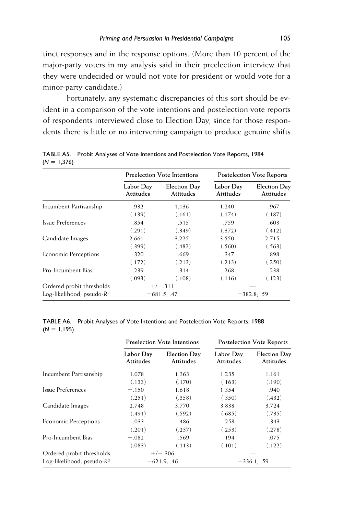tinct responses and in the response options. (More than 10 percent of the major-party voters in my analysis said in their preelection interview that they were undecided or would not vote for president or would vote for a minor-party candidate.)

Fortunately, any systematic discrepancies of this sort should be evident in a comparison of the vote intentions and postelection vote reports of respondents interviewed close to Election Day, since for those respondents there is little or no intervening campaign to produce genuine shifts

|                               | <b>Preelection Vote Intentions</b> |                                  | <b>Postelection Vote Reports</b> |                                  |
|-------------------------------|------------------------------------|----------------------------------|----------------------------------|----------------------------------|
|                               | Labor Day<br>Attitudes             | <b>Election Day</b><br>Attitudes | Labor Day<br>Attitudes           | <b>Election Day</b><br>Attitudes |
| Incumbent Partisanship        | .932                               | 1.136                            | 1.240                            | .967                             |
|                               | (.139)                             | (.161)                           | (.174)                           | (.187)                           |
| Issue Preferences             | .854                               | .515                             | .759                             | .603                             |
|                               | (.291)                             | (.349)                           | (.372)                           | (.412)                           |
| Candidate Images              | 2.661                              | 3.225                            | 3.550                            | 2.715                            |
|                               | (.399)                             | (.482)                           | (.560)                           | (.563)                           |
| <b>Economic Perceptions</b>   | .320                               | .669                             | .347                             | .898                             |
|                               | (.172)                             | (.213)                           | (.213)                           | (.250)                           |
| Pro-Incumbent Bias            | .239                               | .314                             | .268                             | .238                             |
|                               | (.093)                             | (.108)                           | (.116)                           | (.123)                           |
| Ordered probit thresholds     | $+/- .311$                         |                                  |                                  |                                  |
| Log-likelihood, pseudo- $R^2$ | $-681.5, .47$                      |                                  | $-382.8, .59$                    |                                  |

TABLE A5. Probit Analyses of Vote Intentions and Postelection Vote Reports, 1984  $(N = 1,376)$ 

TABLE A6. Probit Analyses of Vote Intentions and Postelection Vote Reports, 1988  $(N = 1,195)$ 

|                               | <b>Preelection Vote Intentions</b> |                                  | <b>Postelection Vote Reports</b> |                                  |
|-------------------------------|------------------------------------|----------------------------------|----------------------------------|----------------------------------|
|                               | Labor Day<br><b>Attitudes</b>      | <b>Election Day</b><br>Attitudes | Labor Day<br>Attitudes           | <b>Election Day</b><br>Attitudes |
| Incumbent Partisanship        | 1.078                              | 1.363                            | 1.235                            | 1.161                            |
|                               | (.133)                             | (.170)                           | (.163)                           | (.190)                           |
| Issue Preferences             | $-.150$                            | 1.618                            | 1.354                            | .940                             |
|                               | (.251)                             | (.358)                           | (.350)                           | (.432)                           |
| Candidate Images              | 2.748                              | 3.770                            | 3.838                            | 3.724                            |
|                               | (.491)                             | (.592)                           | (.685)                           | (.735)                           |
| <b>Economic Perceptions</b>   | .033                               | .486                             | .258                             | .343                             |
|                               | (.201)                             | (.237)                           | (.253)                           | (.278)                           |
| Pro-Incumbent Bias            | $-.082$                            | .569                             | .194                             | .075                             |
|                               | (.083)                             | (.113)                           | (.101)                           | (.122)                           |
| Ordered probit thresholds     | $+/- .306$                         |                                  |                                  |                                  |
| Log-likelihood, pseudo- $R^2$ | $-621.9; .46$                      |                                  | $-336.1; .59$                    |                                  |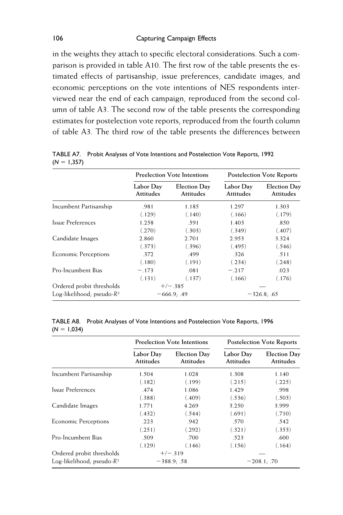in the weights they attach to specific electoral considerations. Such a comparison is provided in table A10. The first row of the table presents the estimated effects of partisanship, issue preferences, candidate images, and economic perceptions on the vote intentions of NES respondents interviewed near the end of each campaign, reproduced from the second column of table A3. The second row of the table presents the corresponding estimates for postelection vote reports, reproduced from the fourth column of table A3. The third row of the table presents the differences between

|                               | <b>Preelection Vote Intentions</b> |                                  | <b>Postelection Vote Reports</b> |                                  |
|-------------------------------|------------------------------------|----------------------------------|----------------------------------|----------------------------------|
|                               | Labor Day<br>Attitudes             | <b>Election Day</b><br>Attitudes | Labor Day<br>Attitudes           | <b>Election Day</b><br>Attitudes |
| Incumbent Partisanship        | .981                               | 1.185                            | 1.297                            | 1.303                            |
|                               | (.129)                             | (.140)                           | (.166)                           | (.179)                           |
| Issue Preferences             | 1.258                              | .591                             | 1.403                            | .850                             |
|                               | (.270)                             | (.303)                           | (.349)                           | (.407)                           |
| Candidate Images              | 2.860                              | 2.701                            | 2.953                            | 3.324                            |
|                               | (.373)                             | (.396)                           | (.495)                           | (.546)                           |
| <b>Economic Perceptions</b>   | .372                               | .499                             | .326                             | .511                             |
|                               | (.180)                             | (.191)                           | (.234)                           | (.248)                           |
| Pro-Incumbent Bias            | $-.173$                            | .081                             | $-.217$                          | .023                             |
|                               | (.131)                             | (.137)                           | (.166)                           | (.176)                           |
| Ordered probit thresholds     | $+/- .385$                         |                                  |                                  |                                  |
| Log-likelihood, pseudo- $R^2$ | $-666.9; .49$                      |                                  | $-326.8; .65$                    |                                  |

TABLE A7. Probit Analyses of Vote Intentions and Postelection Vote Reports, 1992  $(N = 1,357)$ 

TABLE A8. Probit Analyses of Vote Intentions and Postelection Vote Reports, 1996  $(N = 1,034)$ 

|                               | <b>Preelection Vote Intentions</b> |                                  | <b>Postelection Vote Reports</b> |                                         |
|-------------------------------|------------------------------------|----------------------------------|----------------------------------|-----------------------------------------|
|                               | Labor Day<br><b>Attitudes</b>      | <b>Election Day</b><br>Attitudes | Labor Day<br>Attitudes           | <b>Election Day</b><br><b>Attitudes</b> |
| Incumbent Partisanship        | 1.504                              | 1.028                            | 1.308                            | 1.140                                   |
|                               | (.182)                             | (.199)                           | (.215)                           | (.225)                                  |
| Issue Preferences             | .474                               | 1.086                            | 1.429                            | .998                                    |
|                               | (.388)                             | (.409)                           | (.536)                           | (.503)                                  |
| Candidate Images              | 1.771                              | 4.269                            | 3.250                            | 3.999                                   |
|                               | (.432)                             | (.544)                           | (.691)                           | (.710)                                  |
| <b>Economic Perceptions</b>   | .223                               | .942                             | .570                             | .542                                    |
|                               | (.251)                             | (.292)                           | (.321)                           | (.353)                                  |
| Pro-Incumbent Bias            | .509                               | .700                             | .523                             | .600                                    |
|                               | (.129)                             | (.146)                           | (.156)                           | (.164)                                  |
| Ordered probit thresholds     |                                    | $+/-$ .319                       |                                  |                                         |
| Log-likelihood; pseudo- $R^2$ | $-388.9; .58$                      |                                  | $-208.1; .70$                    |                                         |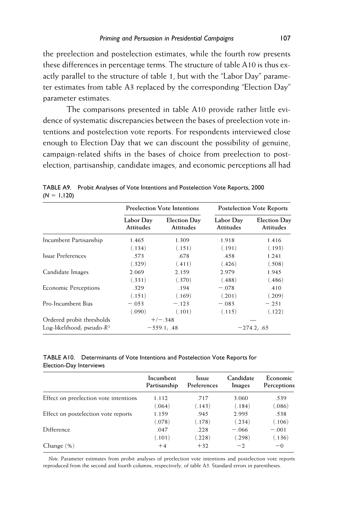the preelection and postelection estimates, while the fourth row presents these differences in percentage terms. The structure of table A10 is thus exactly parallel to the structure of table 1, but with the "Labor Day" parameter estimates from table A3 replaced by the corresponding "Election Day" parameter estimates.

The comparisons presented in table A10 provide rather little evidence of systematic discrepancies between the bases of preelection vote intentions and postelection vote reports. For respondents interviewed close enough to Election Day that we can discount the possibility of genuine, campaign-related shifts in the bases of choice from preelection to postelection, partisanship, candidate images, and economic perceptions all had

|                               | <b>Preelection Vote Intentions</b> |                                  | <b>Postelection Vote Reports</b> |                                  |
|-------------------------------|------------------------------------|----------------------------------|----------------------------------|----------------------------------|
|                               | Labor Day<br>Attitudes             | <b>Election Day</b><br>Attitudes | Labor Day<br>Attitudes           | <b>Election Day</b><br>Attitudes |
| Incumbent Partisanship        | 1.465                              | 1.309                            | 1.918                            | 1.416                            |
|                               | (.134)                             | (.151)                           | (.191)                           | (.193)                           |
| Issue Preferences             | .573                               | .678                             | .458                             | 1.241                            |
|                               | (.329)                             | (.411)                           | (.426)                           | (.508)                           |
| Candidate Images              | 2.069                              | 2.159                            | 2.979                            | 1.945                            |
|                               | (.331)                             | (.370)                           | (.488)                           | (.486)                           |
| <b>Economic Perceptions</b>   | .329                               | .194                             | $-.078$                          | .410                             |
|                               | (.151)                             | (.169)                           | (.201)                           | (.209)                           |
| Pro-Incumbent Bias            | $-.053$                            | $-.123$                          | $-.083$                          | $-.251$                          |
|                               | (.090)                             | (.101)                           | (.115)                           | (.122)                           |
| Ordered probit thresholds     | $+/- .348$                         |                                  |                                  |                                  |
| Log-likelihood, pseudo- $R^2$ | $-559.1; .48$                      |                                  | $-274.2, .65$                    |                                  |

TABLE A9. Probit Analyses of Vote Intentions and Postelection Vote Reports, 2000  $(N = 1,120)$ 

|                         | TABLE A10. Determinants of Vote Intentions and Postelection Vote Reports for |
|-------------------------|------------------------------------------------------------------------------|
| Election-Day Interviews |                                                                              |

|                                       | Incumbent<br>Partisanship | <b>Issue</b><br>Preferences | Candidate<br>Images | Economic<br>Perceptions |
|---------------------------------------|---------------------------|-----------------------------|---------------------|-------------------------|
| Effect on preelection vote intentions | 1.112                     | .717                        | 3.060               | .539                    |
|                                       | (.064)                    | (.143)                      | (.184)              | (.086)                  |
| Effect on postelection vote reports   | 1.159                     | .945                        | 2.995               | .538                    |
|                                       | (.078)                    | (.178)                      | (.234)              | (.106)                  |
| Difference                            | .047                      | .228                        | $-.066$             | $-.001$                 |
|                                       | (.101)                    | (.228)                      | (.298)              | (.136)                  |
| Change $(\% )$                        | $+4$                      | $+32$                       | $-2$                | $-0$                    |

*Note:* Parameter estimates from probit analyses of preelection vote intentions and postelection vote reports reproduced from the second and fourth columns, respectively, of table A3. Standard errors in parentheses.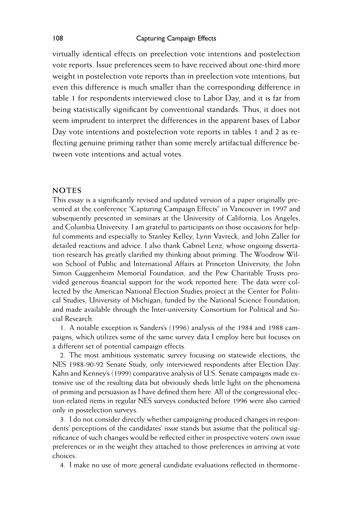virtually identical effects on preelection vote intentions and postelection vote reports. Issue preferences seem to have received about one-third more weight in postelection vote reports than in preelection vote intentions; but even this difference is much smaller than the corresponding difference in table 1 for respondents interviewed close to Labor Day, and it is far from being statistically significant by conventional standards. Thus, it does not seem imprudent to interpret the differences in the apparent bases of Labor Day vote intentions and postelection vote reports in tables 1 and 2 as reflecting genuine priming rather than some merely artifactual difference between vote intentions and actual votes.

#### **NOTES**

This essay is a significantly revised and updated version of a paper originally presented at the conference "Capturing Campaign Effects" in Vancouver in 1997 and subsequently presented in seminars at the University of California, Los Angeles, and Columbia University. I am grateful to participants on those occasions for helpful comments and especially to Stanley Kelley, Lynn Vavreck, and John Zaller for detailed reactions and advice. I also thank Gabriel Lenz, whose ongoing dissertation research has greatly clarified my thinking about priming. The Woodrow Wilson School of Public and International Affairs at Princeton University, the John Simon Guggenheim Memorial Foundation, and the Pew Charitable Trusts provided generous financial support for the work reported here. The data were collected by the American National Election Studies project at the Center for Political Studies, University of Michigan; funded by the National Science Foundation; and made available through the Inter-university Consortium for Political and Social Research.

1. A notable exception is Sanders's (1996) analysis of the 1984 and 1988 campaigns, which utilizes some of the same survey data I employ here but focuses on a different set of potential campaign effects.

2. The most ambitious systematic survey focusing on statewide elections, the NES 1988-90-92 Senate Study, only interviewed respondents after Election Day. Kahn and Kenney's (1999) comparative analysis of U.S. Senate campaigns made extensive use of the resulting data but obviously sheds little light on the phenomena of priming and persuasion as I have defined them here. All of the congressional election-related items in regular NES surveys conducted before 1996 were also carried only in postelection surveys.

3. I do not consider directly whether campaigning produced changes in respondents' perceptions of the candidates' issue stands but assume that the political significance of such changes would be reflected either in prospective voters' own issue preferences or in the weight they attached to those preferences in arriving at vote choices.

4. I make no use of more general candidate evaluations reBected in thermome-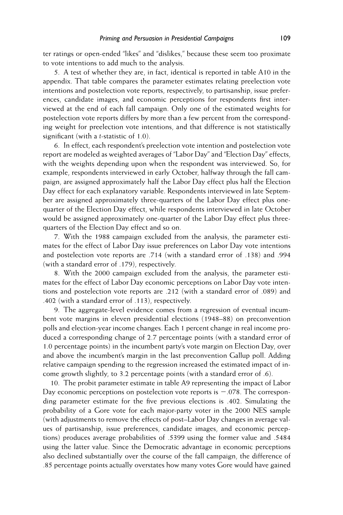ter ratings or open-ended "likes" and "dislikes," because these seem too proximate to vote intentions to add much to the analysis.

5. A test of whether they are, in fact, identical is reported in table A10 in the appendix. That table compares the parameter estimates relating preelection vote intentions and postelection vote reports, respectively, to partisanship, issue preferences, candidate images, and economic perceptions for respondents first interviewed at the end of each fall campaign. Only one of the estimated weights for postelection vote reports differs by more than a few percent from the corresponding weight for preelection vote intentions, and that difference is not statistically significant (with a  $t$ -statistic of  $1.0$ ).

6. In effect, each respondent's preelection vote intention and postelection vote report are modeled as weighted averages of "Labor Day" and "Election Day" effects, with the weights depending upon when the respondent was interviewed. So, for example, respondents interviewed in early October, halfway through the fall campaign, are assigned approximately half the Labor Day effect plus half the Election Day effect for each explanatory variable. Respondents interviewed in late September are assigned approximately three-quarters of the Labor Day effect plus onequarter of the Election Day effect, while respondents interviewed in late October would be assigned approximately one-quarter of the Labor Day effect plus threequarters of the Election Day effect and so on.

7. With the 1988 campaign excluded from the analysis, the parameter estimates for the effect of Labor Day issue preferences on Labor Day vote intentions and postelection vote reports are .714 (with a standard error of .138) and .994 (with a standard error of .179), respectively.

8. With the 2000 campaign excluded from the analysis, the parameter estimates for the effect of Labor Day economic perceptions on Labor Day vote intentions and postelection vote reports are .212 (with a standard error of .089) and .402 (with a standard error of .113), respectively.

9. The aggregate-level evidence comes from a regression of eventual incumbent vote margins in eleven presidential elections (1948–88) on preconvention polls and election-year income changes. Each 1 percent change in real income produced a corresponding change of 2.7 percentage points (with a standard error of 1.0 percentage points) in the incumbent party's vote margin on Election Day, over and above the incumbent's margin in the last preconvention Gallup poll. Adding relative campaign spending to the regression increased the estimated impact of income growth slightly, to 3.2 percentage points (with a standard error of .6).

10. The probit parameter estimate in table A9 representing the impact of Labor Day economic perceptions on postelection vote reports is  $-.078$ . The corresponding parameter estimate for the Ave previous elections is .402. Simulating the probability of a Gore vote for each major-party voter in the 2000 NES sample (with adjustments to remove the effects of post–Labor Day changes in average values of partisanship, issue preferences, candidate images, and economic perceptions) produces average probabilities of .5399 using the former value and .5484 using the latter value. Since the Democratic advantage in economic perceptions also declined substantially over the course of the fall campaign, the difference of .85 percentage points actually overstates how many votes Gore would have gained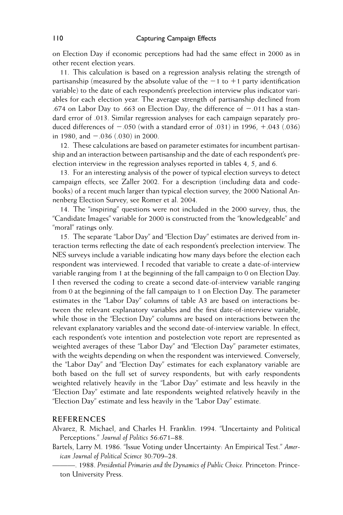on Election Day if economic perceptions had had the same effect in 2000 as in other recent election years.

11. This calculation is based on a regression analysis relating the strength of partisanship (measured by the absolute value of the  $-1$  to  $+1$  party identification variable) to the date of each respondent's preelection interview plus indicator variables for each election year. The average strength of partisanship declined from .674 on Labor Day to .663 on Election Day; the difference of  $-.011$  has a standard error of .013. Similar regression analyses for each campaign separately produced differences of  $-.050$  (with a standard error of .031) in 1996,  $+.043$  (.036) in 1980, and  $-.036$  (.030) in 2000.

12. These calculations are based on parameter estimates for incumbent partisanship and an interaction between partisanship and the date of each respondent's preelection interview in the regression analyses reported in tables 4, 5, and 6.

13. For an interesting analysis of the power of typical election surveys to detect campaign effects, see Zaller 2002. For a description (including data and codebooks) of a recent much larger than typical election survey, the 2000 National Annenberg Election Survey, see Romer et al. 2004.

14. The "inspiring" questions were not included in the 2000 survey; thus, the "Candidate Images" variable for 2000 is constructed from the "knowledgeable" and "moral" ratings only.

15. The separate "Labor Day" and "Election Day" estimates are derived from interaction terms reflecting the date of each respondent's preelection interview. The NES surveys include a variable indicating how many days before the election each respondent was interviewed. I recoded that variable to create a date-of-interview variable ranging from 1 at the beginning of the fall campaign to 0 on Election Day. I then reversed the coding to create a second date-of-interview variable ranging from 0 at the beginning of the fall campaign to 1 on Election Day. The parameter estimates in the "Labor Day" columns of table A3 are based on interactions between the relevant explanatory variables and the first date-of-interview variable, while those in the "Election Day" columns are based on interactions between the relevant explanatory variables and the second date-of-interview variable. In effect, each respondent's vote intention and postelection vote report are represented as weighted averages of these "Labor Day" and "Election Day" parameter estimates, with the weights depending on when the respondent was interviewed. Conversely, the "Labor Day" and "Election Day" estimates for each explanatory variable are both based on the full set of survey respondents, but with early respondents weighted relatively heavily in the "Labor Day" estimate and less heavily in the "Election Day" estimate and late respondents weighted relatively heavily in the "Election Day" estimate and less heavily in the "Labor Day" estimate.

#### **REFERENCES**

- Alvarez, R. Michael, and Charles H. Franklin. 1994. "Uncertainty and Political Perceptions." *Journal of Politics* 56:671–88.
- Bartels, Larry M. 1986. "Issue Voting under Uncertainty: An Empirical Test." *American Journal of Political Science* 30:709–28.
	- ———. 1988. *Presidential Primaries and the Dynamics of Public Choice.* Princeton: Princeton University Press.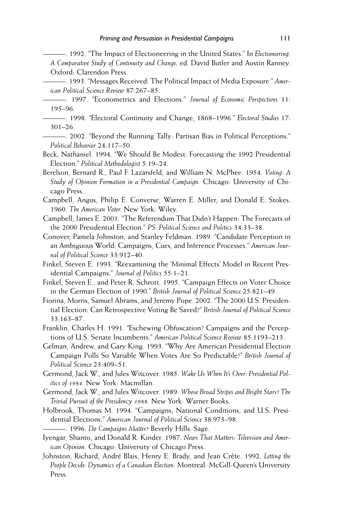———. 1992. "The Impact of Electioneering in the United States." In *Electioneering: A Comparative Study of Continuity and Change,* ed. David Butler and Austin Ranney. Oxford: Clarendon Press.

- ———. 1993. "Messages Received: The Political Impact of Media Exposure." *American Political Science Review* 87:267–85.
- ———. 1997. "Econometrics and Elections." *Journal of Economic Perspectives* 11: 195–96.
- ———. 1998. "Electoral Continuity and Change, 1868–1996." *Electoral Studies* 17: 301–26.
- ———. 2002. "Beyond the Running Tally: Partisan Bias in Political Perceptions." *Political Behavior* 24:117–50.
- Beck, Nathaniel. 1994. "We Should Be Modest: Forecasting the 1992 Presidential Election." *Political Methodologist* 5:19–24.
- Berelson, Bernard R., Paul F. Lazarsfeld, and William N. McPhee. 1954. *Voting: A Study of Opinion Formation in a Presidential Campaign.* Chicago: University of Chicago Press.
- Campbell, Angus, Philip E. Converse, Warren E. Miller, and Donald E. Stokes. 1960. *The American Voter.* New York: Wiley.
- Campbell, James E. 2001. "The Referendum That Didn't Happen: The Forecasts of the 2000 Presidential Election." *PS: Political Science and Politics* 34:33–38.
- Conover, Pamela Johnston, and Stanley Feldman. 1989. "Candidate Perception in an Ambiguous World: Campaigns, Cues, and Inference Processes." *American Journal of Political Science* 33:912–40.
- Finkel, Steven E. 1993. "Reexamining the 'Minimal Effects' Model in Recent Presidential Campaigns." *Journal of Politics* 55:1–21.
- Finkel, Steven E., and Peter R. Schrott. 1995. "Campaign Effects on Voter Choice in the German Election of 1990." *British Journal of Political Science* 25:821–49.
- Fiorina, Morris, Samuel Abrams, and Jeremy Pope. 2002. "The 2000 U.S. Presidential Election: Can Retrospective Voting Be Saved?" *British Journal of Political Science* 33:163–87.
- Franklin, Charles H. 1991. "Eschewing Obfuscation? Campaigns and the Perceptions of U.S. Senate Incumbents." *American Political Science Review* 85:1193–213.
- Gelman, Andrew, and Gary King. 1993. "Why Are American Presidential Election Campaign Polls So Variable When Votes Are So Predictable?" *British Journal of Political Science* 23:409–51.
- Germond, Jack W., and Jules Witcover. 1985. *Wake Us When It's Over: Presidential Politics of 1984.* New York: Macmillan.
- Germond, Jack W., and Jules Witcover. 1989. *Whose Broad Stripes and Bright Stars? The Trivial Pursuit of the Presidency 1988.* New York: Warner Books.
- Holbrook, Thomas M. 1994. "Campaigns, National Conditions, and U.S. Presidential Elections." *American Journal of Political Science* 38:973–98.

———. 1996. *Do Campaigns Matter?* Beverly Hills: Sage.

- Iyengar, Shanto, and Donald R. Kinder. 1987. *News That Matters: Television and American Opinion.* Chicago: University of Chicago Press.
- Johnston, Richard, André Blais, Henry E. Brady, and Jean Crête. 1992. *Letting the People Decide: Dynamics of a Canadian Election.* Montreal: McGill-Queen's University Press.